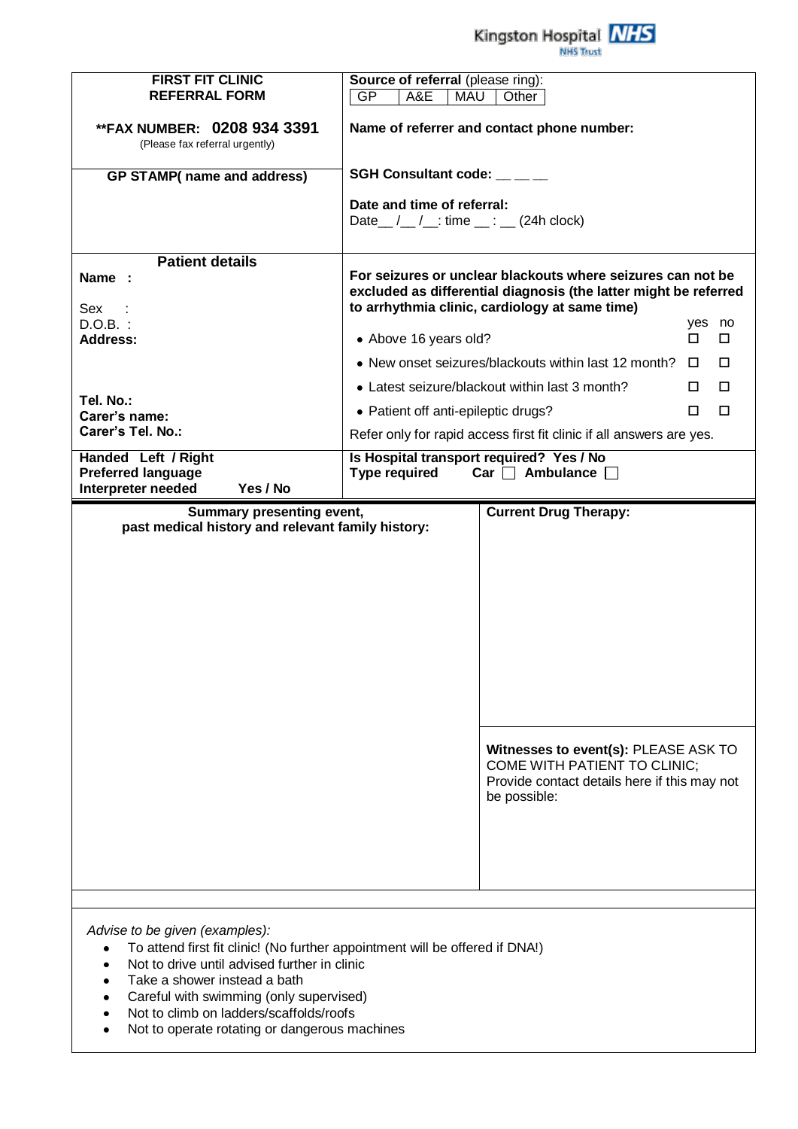Kingston Hospital **NHS** NHS Trust

| <b>FIRST FIT CLINIC</b><br><b>REFERRAL FORM</b>                                | Source of referral (please ring):<br><b>GP</b><br>A&E<br><b>MAU</b><br>Other                                                                                                      |             |        |  |
|--------------------------------------------------------------------------------|-----------------------------------------------------------------------------------------------------------------------------------------------------------------------------------|-------------|--------|--|
|                                                                                |                                                                                                                                                                                   |             |        |  |
| <b>**FAX NUMBER: 0208 934 3391</b><br>(Please fax referral urgently)           | Name of referrer and contact phone number:                                                                                                                                        |             |        |  |
| <b>GP STAMP(</b> name and address)                                             | SGH Consultant code: __ __ _                                                                                                                                                      |             |        |  |
|                                                                                | Date and time of referral:<br>Date $\_\,\_\,\_\,\_\$ : time $\_\,\_\,\_\$ (24h clock)                                                                                             |             |        |  |
| <b>Patient details</b>                                                         |                                                                                                                                                                                   |             |        |  |
| Name :<br>Sex                                                                  | For seizures or unclear blackouts where seizures can not be<br>excluded as differential diagnosis (the latter might be referred<br>to arrhythmia clinic, cardiology at same time) |             |        |  |
| $D.O.B.$ :<br>Address:                                                         | • Above 16 years old?                                                                                                                                                             | yes no<br>п | $\Box$ |  |
|                                                                                | • New onset seizures/blackouts within last 12 month?                                                                                                                              | $\Box$      | □      |  |
|                                                                                | • Latest seizure/blackout within last 3 month?                                                                                                                                    | П.          | □      |  |
| Tel. No.:                                                                      | • Patient off anti-epileptic drugs?                                                                                                                                               |             | $\Box$ |  |
| Carer's name:<br>Carer's Tel. No.:                                             | Refer only for rapid access first fit clinic if all answers are yes.                                                                                                              |             |        |  |
| Handed Left / Right                                                            | Is Hospital transport required? Yes / No                                                                                                                                          |             |        |  |
| <b>Preferred language</b>                                                      | <b>Type required</b><br>Car $\Box$ Ambulance $\Box$                                                                                                                               |             |        |  |
| Interpreter needed<br>Yes / No                                                 |                                                                                                                                                                                   |             |        |  |
| Summary presenting event,<br>past medical history and relevant family history: | <b>Current Drug Therapy:</b>                                                                                                                                                      |             |        |  |
|                                                                                |                                                                                                                                                                                   |             |        |  |
|                                                                                |                                                                                                                                                                                   |             |        |  |
|                                                                                |                                                                                                                                                                                   |             |        |  |
|                                                                                |                                                                                                                                                                                   |             |        |  |
|                                                                                |                                                                                                                                                                                   |             |        |  |
|                                                                                |                                                                                                                                                                                   |             |        |  |
|                                                                                |                                                                                                                                                                                   |             |        |  |
|                                                                                |                                                                                                                                                                                   |             |        |  |
|                                                                                | Witnesses to event(s): PLEASE ASK TO<br>COME WITH PATIENT TO CLINIC;<br>Provide contact details here if this may not<br>be possible:                                              |             |        |  |
|                                                                                |                                                                                                                                                                                   |             |        |  |
|                                                                                |                                                                                                                                                                                   |             |        |  |
|                                                                                |                                                                                                                                                                                   |             |        |  |
|                                                                                |                                                                                                                                                                                   |             |        |  |

*Advise to be given (examples):*

- To attend first fit clinic! (No further appointment will be offered if DNA!)
- $\bullet$ Not to drive until advised further in clinic
- Take a shower instead a bath
- Careful with swimming (only supervised)
- Not to climb on ladders/scaffolds/roofs  $\bullet$
- Not to operate rotating or dangerous machines $\bullet$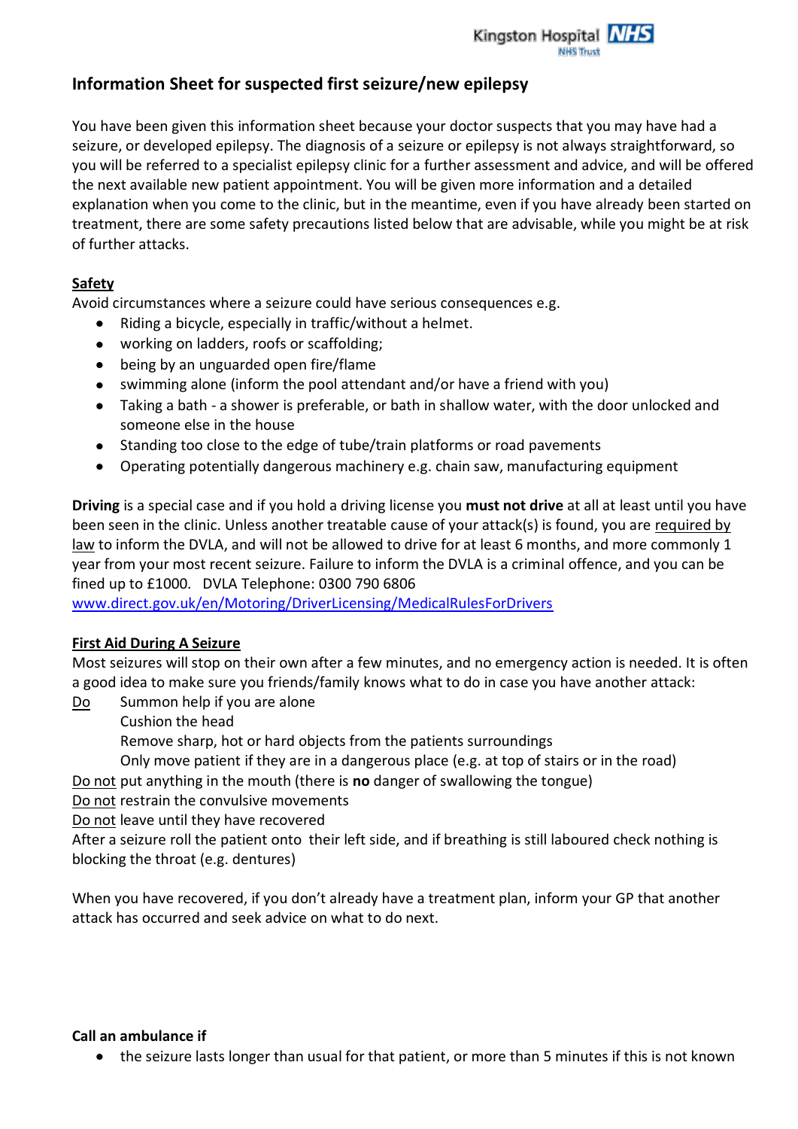

# **Information Sheet for suspected first seizure/new epilepsy**

You have been given this information sheet because your doctor suspects that you may have had a seizure, or developed epilepsy. The diagnosis of a seizure or epilepsy is not always straightforward, so you will be referred to a specialist epilepsy clinic for a further assessment and advice, and will be offered the next available new patient appointment. You will be given more information and a detailed explanation when you come to the clinic, but in the meantime, even if you have already been started on treatment, there are some safety precautions listed below that are advisable, while you might be at risk of further attacks.

# **Safety**

Avoid circumstances where a seizure could have serious consequences e.g.

- Riding a bicycle, especially in traffic/without a helmet.
- working on ladders, roofs or scaffolding;
- being by an unguarded open fire/flame
- swimming alone (inform the pool attendant and/or have a friend with you)
- Taking a bath a shower is preferable, or bath in shallow water, with the door unlocked and someone else in the house
- Standing too close to the edge of tube/train platforms or road pavements
- Operating potentially dangerous machinery e.g. chain saw, manufacturing equipment

**Driving** is a special case and if you hold a driving license you **must not drive** at all at least until you have been seen in the clinic. Unless another treatable cause of your attack(s) is found, you are required by law to inform the DVLA, and will not be allowed to drive for at least 6 months, and more commonly 1 year from your most recent seizure. Failure to inform the DVLA is a criminal offence, and you can be fined up to £1000. DVLA Telephone: 0300 790 6806

[www.direct.gov.uk/en/Motoring/DriverLicensing/MedicalRulesForDrivers](http://www.direct.gov.uk/en/Motoring/DriverLicensing/MedicalRulesForDrivers)

# **First Aid During A Seizure**

Most seizures will stop on their own after a few minutes, and no emergency action is needed. It is often a good idea to make sure you friends/family knows what to do in case you have another attack:

Do Summon help if you are alone

Cushion the head

Remove sharp, hot or hard objects from the patients surroundings

Only move patient if they are in a dangerous place (e.g. at top of stairs or in the road)

Do not put anything in the mouth (there is **no** danger of swallowing the tongue)

Do not restrain the convulsive movements

Do not leave until they have recovered

After a seizure roll the patient onto their left side, and if breathing is still laboured check nothing is blocking the throat (e.g. dentures)

When you have recovered, if you don't already have a treatment plan, inform your GP that another attack has occurred and seek advice on what to do next.

# **Call an ambulance if**

the seizure lasts longer than usual for that patient, or more than 5 minutes if this is not known